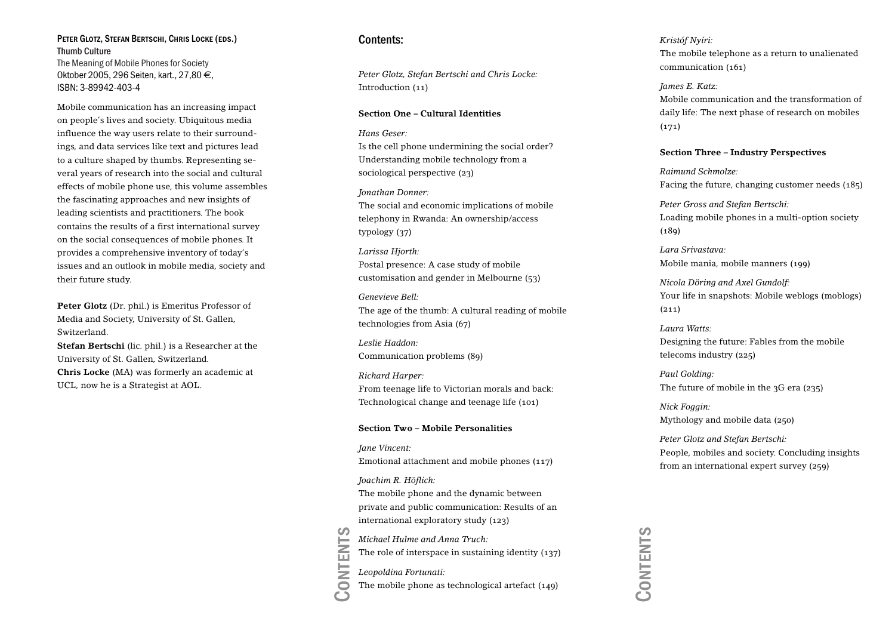#### Peter Glotz, Stefan Bertschi, Chris Locke (eds.) Thumb CultureThe Meaning of Mobile Phones for Society Oktober 2005, 296 Seiten, kart., 27,80 €, ISBN: 3-89942-403-4

Mobile communication has an increasing impact on people's lives and society. Ubiquitous media influence the way users relate to their surroundings, and data services like text and pictures lead to a culture shaped by thumbs. Representing several years of research into the social and cultural effects of mobile phone use, this volume assembles the fascinating approaches and new insights of leading scientists and practitioners. The book contains the results of a first international survey on the social consequences of mobile phones. It provides a comprehensive inventory of today's issues and an outlook in mobile media, society and their future study.

**Peter Glotz** (Dr. phil.) is Emeritus Professor of Media and Society, University of St. Gallen, Switzerland.**Stefan Bertschi** (lic. phil.) is a Researcher at the University of St. Gallen, Switzerland. **Chris Locke** (MA) was formerly an academic at

UCL, now he is a Strategist at AOL.

### Contents:

*Peter Glotz, Stefan Bertschi and Chris Locke:* Introduction (11)

#### **Section One – Cultural Identities**

*Hans Geser:*

Is the cell phone undermining the social order? Understanding mobile technology from a sociological perspective (23)

*Jonathan Donner:*

The social and economic implications of mobile telephony in Rwanda: An ownership/access typology (37)

*Larissa Hjorth:* Postal presence: A case study of mobile customisation and gender in Melbourne (53)

*Genevieve Bell:*The age of the thumb: A cultural reading of mobile technologies from Asia (67)

*Leslie Haddon:*Communication problems (89)

*Richard Harper:* From teenage life to Victorian morals and back: Technological change and teenage life (101)

#### **Section Two – Mobile Personalities**

*Jane Vincent:* Emotional attachment and mobile phones (117)

*Joachim R. Höflich:*

The mobile phone and the dynamic between private and public communication: Results of an international exploratory study (123)

*Michael Hulme and Anna Truch:*

The role of interspace in sustaining identity (137)

*Leopoldina Fortunati:*

Contents The mobile phone as technological artefact (149) *Kristóf Nyíri:* The mobile telephone as a return to unalienated communication (161)

*James E. Katz:* Mobile communication and the transformation ofdaily life: The next phase of research on mobiles (171)

#### **Section Three – Industry Perspectives**

*Raimund Schmolze:*Facing the future, changing customer needs (185)

*Peter Gross and Stefan Bertschi:* Loading mobile phones in a multi-option society  $(189)$ 

*Lara Srivastava:*Mobile mania, mobile manners (199)

*Nicola Döring and Axel Gundolf:* Your life in snapshots: Mobile weblogs (moblogs)  $(211)$ 

*Laura Watts:*Designing the future: Fables from the mobile telecoms industry (225)

*Paul Golding:* The future of mobile in the 3G era (235)

*Nick Foggin:* Mythology and mobile data (250)

*Peter Glotz and Stefan Bertschi:* People, mobiles and society. Concluding insights from an international expert survey (259)

Contents